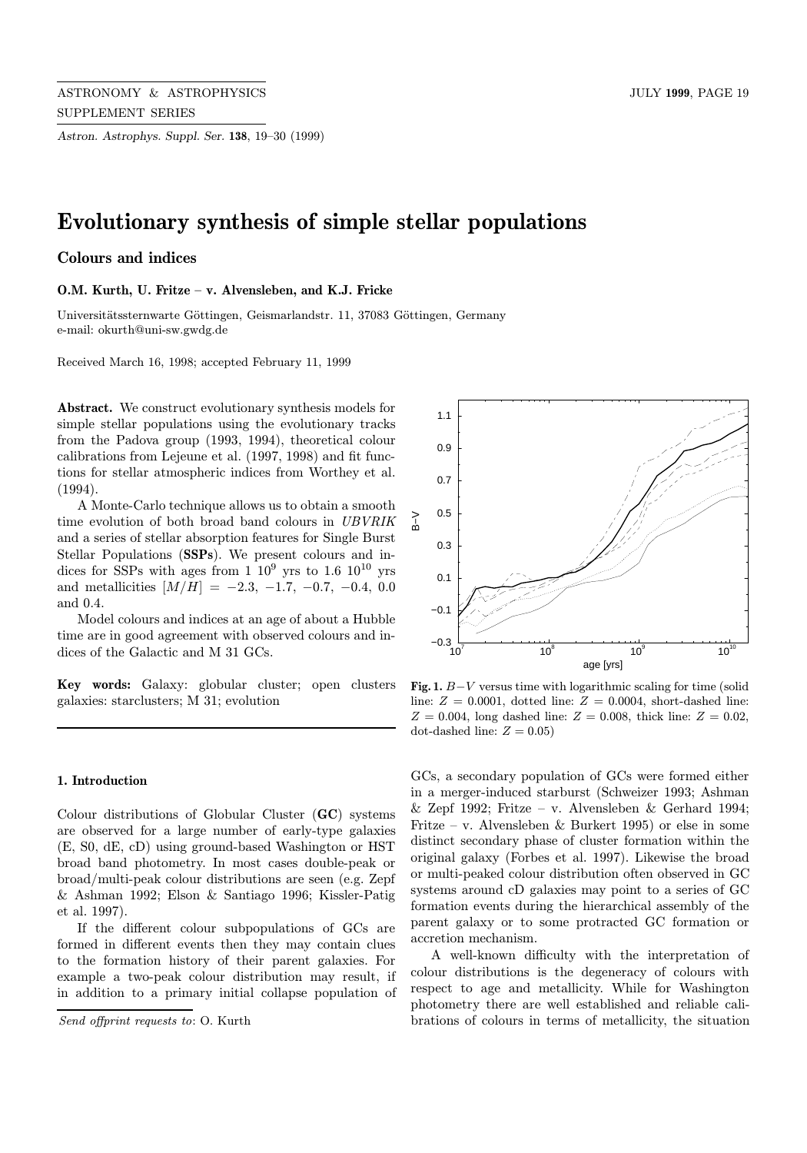Astron. Astrophys. Suppl. Ser. 138, 19–30 (1999)

# Evolutionary synthesis of simple stellar populations

# Colours and indices

O.M. Kurth, U. Fritze – v. Alvensleben, and K.J. Fricke

Universitätssternwarte Göttingen, Geismarlandstr. 11, 37083 Göttingen, Germany e-mail: okurth@uni-sw.gwdg.de

Received March 16, 1998; accepted February 11, 1999

Abstract. We construct evolutionary synthesis models for simple stellar populations using the evolutionary tracks from the Padova group (1993, 1994), theoretical colour calibrations from Lejeune et al. (1997, 1998) and fit functions for stellar atmospheric indices from Worthey et al. (1994).

A Monte-Carlo technique allows us to obtain a smooth time evolution of both broad band colours in UBVRIK and a series of stellar absorption features for Single Burst Stellar Populations (SSPs). We present colours and indices for SSPs with ages from 1  $10^9$  yrs to 1.6  $10^{10}$  yrs and metallicities  $[M/H] = -2.3, -1.7, -0.7, -0.4, 0.0$ and 0.4.

Model colours and indices at an age of about a Hubble time are in good agreement with observed colours and indices of the Galactic and M 31 GCs.

Key words: Galaxy: globular cluster; open clusters galaxies: starclusters; M 31; evolution

# 1. Introduction

Colour distributions of Globular Cluster (GC) systems are observed for a large number of early-type galaxies (E, S0, dE, cD) using ground-based Washington or HST broad band photometry. In most cases double-peak or broad/multi-peak colour distributions are seen (e.g. Zepf & Ashman 1992; Elson & Santiago 1996; Kissler-Patig et al. 1997).

If the different colour subpopulations of GCs are formed in different events then they may contain clues to the formation history of their parent galaxies. For example a two-peak colour distribution may result, if in addition to a primary initial collapse population of



Fig. 1.  $B-V$  versus time with logarithmic scaling for time (solid line:  $Z = 0.0001$ , dotted line:  $Z = 0.0004$ , short-dashed line:  $Z = 0.004$ , long dashed line:  $Z = 0.008$ , thick line:  $Z = 0.02$ , dot-dashed line:  $Z = 0.05$ )

GCs, a secondary population of GCs were formed either in a merger-induced starburst (Schweizer 1993; Ashman  $&$  Zepf 1992; Fritze – v. Alvensleben  $&$  Gerhard 1994; Fritze – v. Alvensleben & Burkert 1995) or else in some distinct secondary phase of cluster formation within the original galaxy (Forbes et al. 1997). Likewise the broad or multi-peaked colour distribution often observed in GC systems around cD galaxies may point to a series of GC formation events during the hierarchical assembly of the parent galaxy or to some protracted GC formation or accretion mechanism.

A well-known difficulty with the interpretation of colour distributions is the degeneracy of colours with respect to age and metallicity. While for Washington photometry there are well established and reliable calibrations of colours in terms of metallicity, the situation

Send offprint requests to: O. Kurth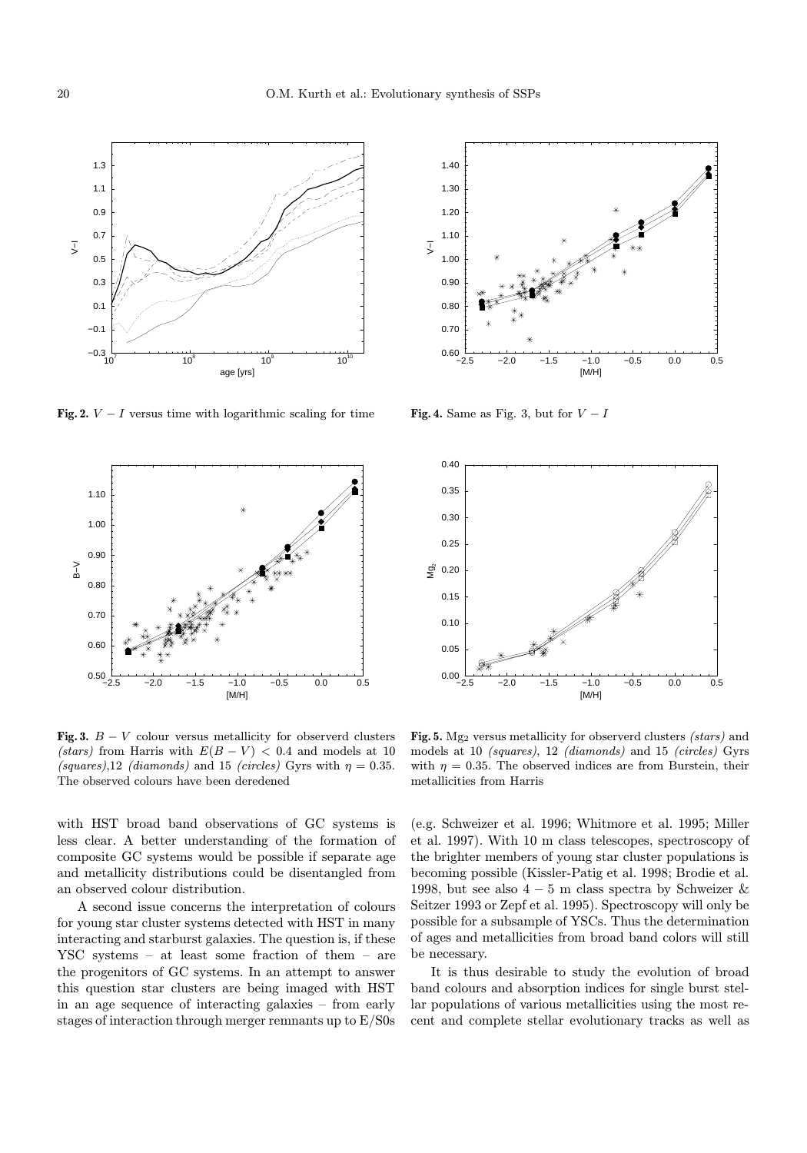

Fig. 2.  $V - I$  versus time with logarithmic scaling for time



Fig. 3.  $B - V$  colour versus metallicity for observerd clusters (stars) from Harris with  $E(B - V) < 0.4$  and models at 10 (squares),12 (diamonds) and 15 (circles) Gyrs with  $\eta = 0.35$ . The observed colours have been deredened

with HST broad band observations of GC systems is less clear. A better understanding of the formation of composite GC systems would be possible if separate age and metallicity distributions could be disentangled from an observed colour distribution.

A second issue concerns the interpretation of colours for young star cluster systems detected with HST in many interacting and starburst galaxies. The question is, if these YSC systems – at least some fraction of them – are the progenitors of GC systems. In an attempt to answer this question star clusters are being imaged with HST in an age sequence of interacting galaxies – from early stages of interaction through merger remnants up to E/S0s



Fig. 4. Same as Fig. 3, but for  $V-I$ 



Fig. 5. Mg<sub>2</sub> versus metallicity for observerd clusters *(stars)* and models at 10 (squares), 12 (diamonds) and 15 (circles) Gyrs with  $\eta = 0.35$ . The observed indices are from Burstein, their metallicities from Harris

(e.g. Schweizer et al. 1996; Whitmore et al. 1995; Miller et al. 1997). With 10 m class telescopes, spectroscopy of the brighter members of young star cluster populations is becoming possible (Kissler-Patig et al. 1998; Brodie et al. 1998, but see also  $4-5$  m class spectra by Schweizer  $\&$ Seitzer 1993 or Zepf et al. 1995). Spectroscopy will only be possible for a subsample of YSCs. Thus the determination of ages and metallicities from broad band colors will still be necessary.

It is thus desirable to study the evolution of broad band colours and absorption indices for single burst stellar populations of various metallicities using the most recent and complete stellar evolutionary tracks as well as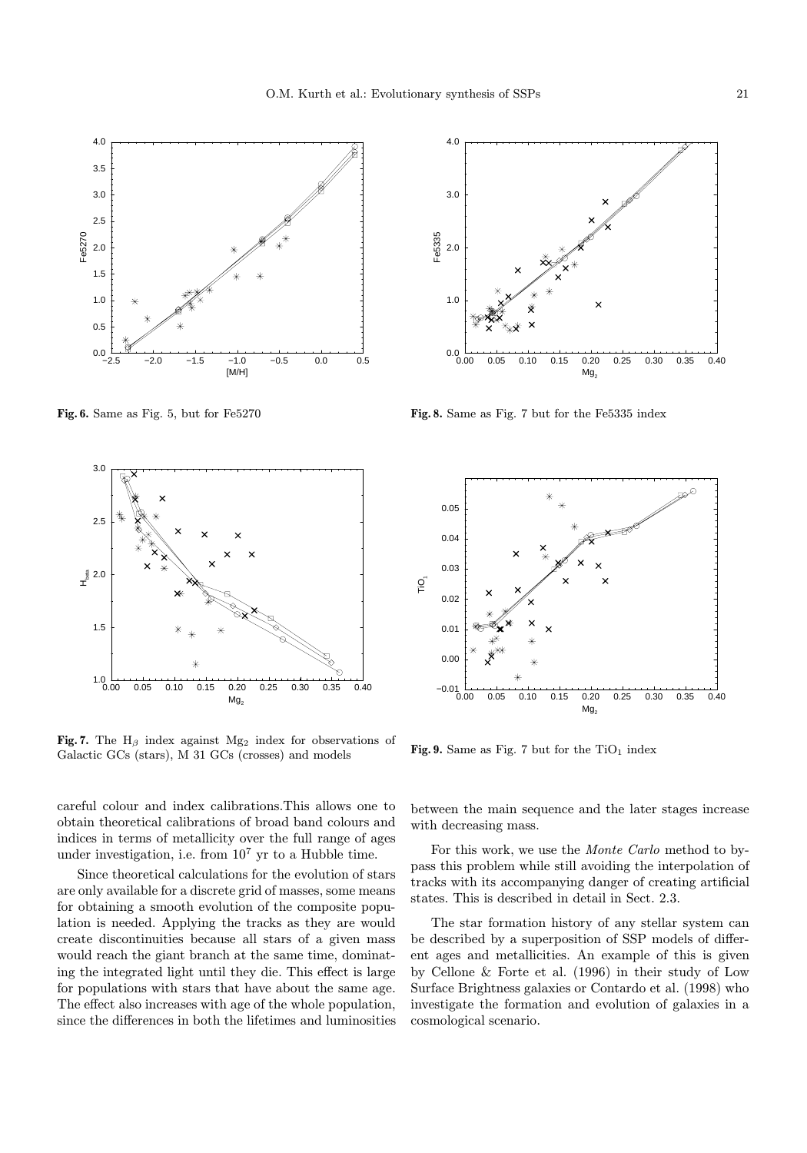

Fig. 6. Same as Fig. 5, but for Fe5270



Fig. 7. The  $H_\beta$  index against Mg<sub>2</sub> index for observations of Galactic GCs (stars), M 31 GCs (crosses) and models

careful colour and index calibrations.This allows one to obtain theoretical calibrations of broad band colours and indices in terms of metallicity over the full range of ages under investigation, i.e. from  $10^7$  yr to a Hubble time.

Since theoretical calculations for the evolution of stars are only available for a discrete grid of masses, some means for obtaining a smooth evolution of the composite population is needed. Applying the tracks as they are would create discontinuities because all stars of a given mass would reach the giant branch at the same time, dominating the integrated light until they die. This effect is large for populations with stars that have about the same age. The effect also increases with age of the whole population, since the differences in both the lifetimes and luminosities



Fig. 8. Same as Fig. 7 but for the Fe5335 index



Fig. 9. Same as Fig. 7 but for the  $TiO<sub>1</sub>$  index

between the main sequence and the later stages increase with decreasing mass.

For this work, we use the Monte Carlo method to bypass this problem while still avoiding the interpolation of tracks with its accompanying danger of creating artificial states. This is described in detail in Sect. 2.3.

The star formation history of any stellar system can be described by a superposition of SSP models of different ages and metallicities. An example of this is given by Cellone & Forte et al. (1996) in their study of Low Surface Brightness galaxies or Contardo et al. (1998) who investigate the formation and evolution of galaxies in a cosmological scenario.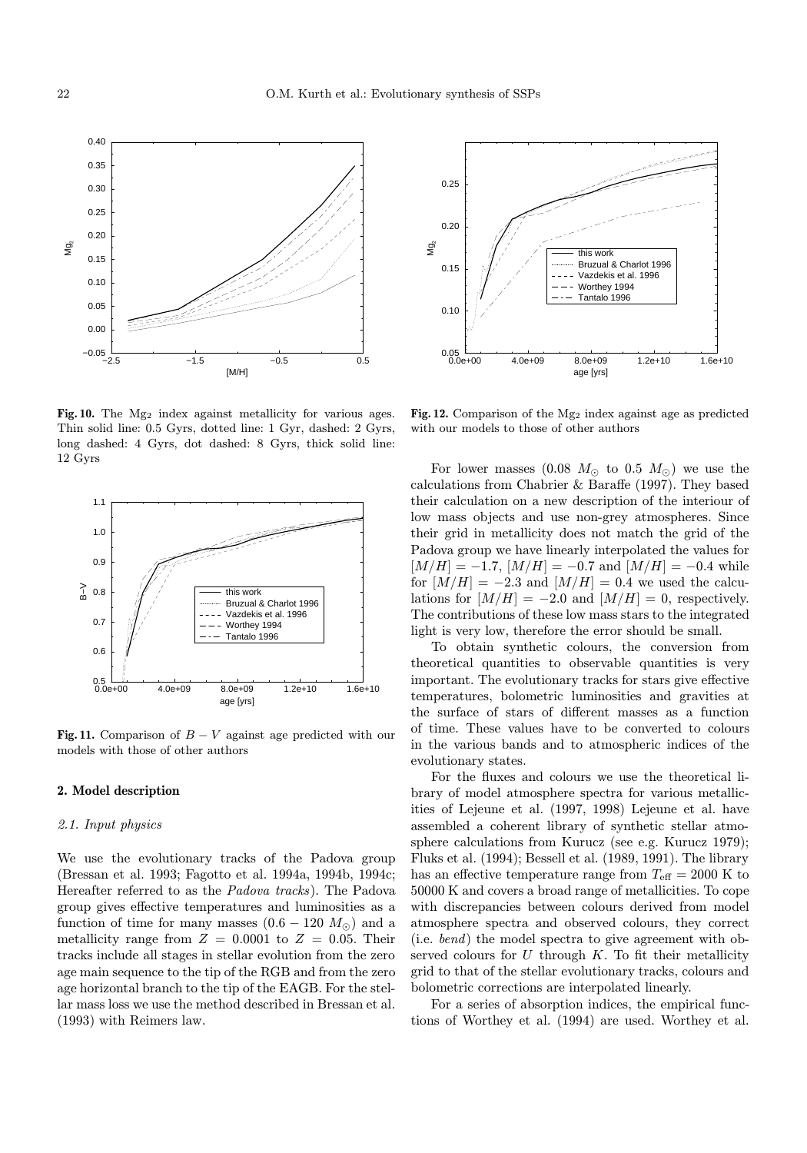

Fig. 10. The  $Mg_2$  index against metallicity for various ages. Thin solid line: 0.5 Gyrs, dotted line: 1 Gyr, dashed: 2 Gyrs, long dashed: 4 Gyrs, dot dashed: 8 Gyrs, thick solid line: 12 Gyrs



Fig. 11. Comparison of  $B - V$  against age predicted with our models with those of other authors

#### 2. Model description

#### 2.1. Input physics

We use the evolutionary tracks of the Padova group (Bressan et al. 1993; Fagotto et al. 1994a, 1994b, 1994c; Hereafter referred to as the Padova tracks). The Padova group gives effective temperatures and luminosities as a function of time for many masses  $(0.6 - 120 M_{\odot})$  and a metallicity range from  $Z = 0.0001$  to  $Z = 0.05$ . Their tracks include all stages in stellar evolution from the zero age main sequence to the tip of the RGB and from the zero age horizontal branch to the tip of the EAGB. For the stellar mass loss we use the method described in Bressan et al. (1993) with Reimers law.



Fig. 12. Comparison of the  $Mg_2$  index against age as predicted with our models to those of other authors

For lower masses (0.08  $M_{\odot}$  to 0.5  $M_{\odot}$ ) we use the calculations from Chabrier & Baraffe (1997). They based their calculation on a new description of the interiour of low mass objects and use non-grey atmospheres. Since their grid in metallicity does not match the grid of the Padova group we have linearly interpolated the values for  $[M/H] = -1.7$ ,  $[M/H] = -0.7$  and  $[M/H] = -0.4$  while for  $[M/H] = -2.3$  and  $[M/H] = 0.4$  we used the calculations for  $[M/H] = -2.0$  and  $[M/H] = 0$ , respectively. The contributions of these low mass stars to the integrated light is very low, therefore the error should be small.

To obtain synthetic colours, the conversion from theoretical quantities to observable quantities is very important. The evolutionary tracks for stars give effective temperatures, bolometric luminosities and gravities at the surface of stars of different masses as a function of time. These values have to be converted to colours in the various bands and to atmospheric indices of the evolutionary states.

For the fluxes and colours we use the theoretical library of model atmosphere spectra for various metallicities of Lejeune et al. (1997, 1998) Lejeune et al. have assembled a coherent library of synthetic stellar atmosphere calculations from Kurucz (see e.g. Kurucz 1979); Fluks et al. (1994); Bessell et al. (1989, 1991). The library has an effective temperature range from  $T_{\text{eff}} = 2000 \text{ K}$  to 50000 K and covers a broad range of metallicities. To cope with discrepancies between colours derived from model atmosphere spectra and observed colours, they correct (i.e. bend) the model spectra to give agreement with observed colours for  $U$  through  $K$ . To fit their metallicity grid to that of the stellar evolutionary tracks, colours and bolometric corrections are interpolated linearly.

For a series of absorption indices, the empirical functions of Worthey et al. (1994) are used. Worthey et al.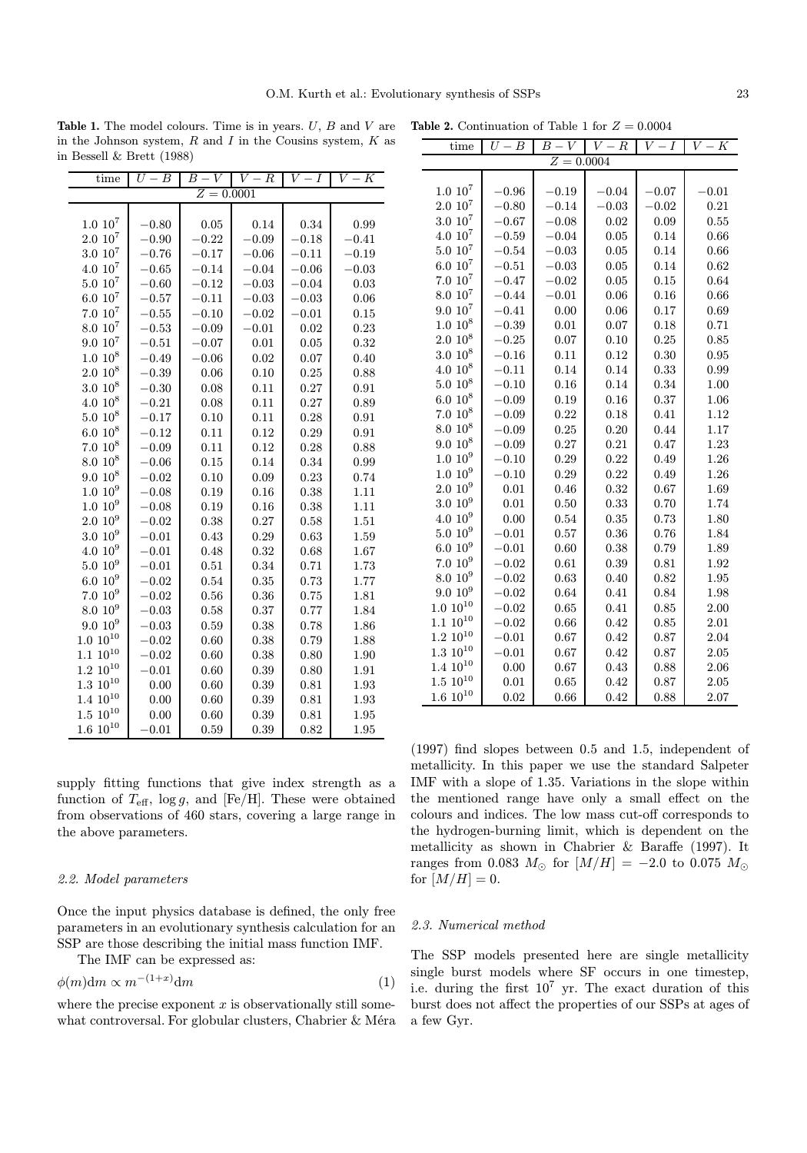**Table 1.** The model colours. Time is in years.  $U, B$  and  $V$  are in the Johnson system,  $R$  and  $I$  in the Cousins system,  $K$  as in Bessell & Brett (1988)

| time                | $U-\overline{B}$ | $\overline{B}$ –<br>$\overline{V}$ | $V -$<br>$\boldsymbol{R}$ | V<br>I  | V<br>$- K$ |
|---------------------|------------------|------------------------------------|---------------------------|---------|------------|
|                     |                  | $Z = 0.0001$                       |                           |         |            |
|                     |                  |                                    |                           |         |            |
| $1.0 10^7$          | $-0.80$          | 0.05                               | 0.14                      | 0.34    | 0.99       |
| $2.0\ 10^7$         | $-0.90$          | $-0.22$                            | $-0.09$                   | $-0.18$ | $-0.41$    |
| $3.0\;10^7$         | $-0.76$          | $-0.17$                            | $-0.06$                   | $-0.11$ | $-0.19$    |
| $4.0\ 10^7$         | $-0.65$          | $-0.14$                            | $-0.04$                   | $-0.06$ | $-0.03$    |
| $5.0\ 10^7$         | $-0.60$          | $-0.12$                            | $-0.03$                   | $-0.04$ | 0.03       |
| $6.0 10^{7}$        | $-0.57$          | $-0.11$                            | $-0.03$                   | $-0.03$ | 0.06       |
| $7.0~10^7$          | $-0.55$          | $-0.10$                            | $-0.02$                   | $-0.01$ | 0.15       |
| $8.0 \; 10^7$       | $-0.53$          | $-0.09$                            | $-0.01$                   | 0.02    | 0.23       |
| $9.0\ 10^7$         | $-0.51$          | $-0.07$                            | 0.01                      | 0.05    | 0.32       |
| $1.0\ 10^8$         | $-0.49$          | $-0.06$                            | 0.02                      | 0.07    | 0.40       |
| $2.0\ 10^8$         | $-0.39$          | 0.06                               | 0.10                      | 0.25    | 0.88       |
| $3.0 \; 10^8$       | $-0.30$          | 0.08                               | 0.11                      | 0.27    | 0.91       |
| $4.0~10^8$          | $-0.21$          | 0.08                               | 0.11                      | 0.27    | 0.89       |
| $5.0\ 10^8$         | $-0.17$          | 0.10                               | 0.11                      | 0.28    | 0.91       |
| $6.0 10^8$          | $-0.12$          | 0.11                               | 0.12                      | 0.29    | 0.91       |
| $7.0~10^8$          | $-0.09$          | 0.11                               | 0.12                      | 0.28    | 0.88       |
| $8.0~10^8$          | $-0.06$          | 0.15                               | 0.14                      | 0.34    | 0.99       |
| $9.0\ 10^8$         | $-0.02$          | 0.10                               | 0.09                      | 0.23    | 0.74       |
| $1.0~10^{9}$        | $-0.08$          | 0.19                               | 0.16                      | 0.38    | 1.11       |
| 1.0 10 <sup>9</sup> | $-0.08$          | 0.19                               | 0.16                      | 0.38    | 1.11       |
| $2.0~10^{9}$        | $-0.02$          | 0.38                               | 0.27                      | 0.58    | 1.51       |
| $3.010^{9}$         | $-0.01$          | 0.43                               | 0.29                      | 0.63    | 1.59       |
| $4.0~10^{9}$        | $-0.01$          | 0.48                               | 0.32                      | 0.68    | 1.67       |
| $5.0~10^{9}$        | $-0.01$          | 0.51                               | 0.34                      | 0.71    | 1.73       |
| $6.010^{9}$         | $-0.02$          | 0.54                               | 0.35                      | 0.73    | 1.77       |
| $7.010^{9}$         | $-0.02$          | 0.56                               | 0.36                      | 0.75    | 1.81       |
| $8.0 10^9$          | $-0.03$          | 0.58                               | 0.37                      | 0.77    | 1.84       |
| $9.0~10^{9}$        | $-0.03$          | 0.59                               | 0.38                      | 0.78    | 1.86       |
| $1.0~10^{10}$       | $-0.02$          | 0.60                               | 0.38                      | 0.79    | 1.88       |
| $1.1~10^{10}$       | $-0.02$          | 0.60                               | 0.38                      | 0.80    | 1.90       |
| $1.2~10^{10}$       | $-0.01$          | 0.60                               | 0.39                      | 0.80    | 1.91       |
| $1.3\ 10^{10}$      | 0.00             | 0.60                               | 0.39                      | 0.81    | 1.93       |
| $1.4~10^{10}$       | 0.00             | 0.60                               | 0.39                      | 0.81    | 1.93       |
| $1.5\ 10^{10}$      | 0.00             | 0.60                               | 0.39                      | 0.81    | 1.95       |
| $1.6\ 10^{10}$      | $-0.01$          | 0.59                               | 0.39                      | 0.82    | 1.95       |

supply fitting functions that give index strength as a function of  $T_{\text{eff}}$ , log g, and [Fe/H]. These were obtained from observations of 460 stars, covering a large range in the above parameters.

#### 2.2. Model parameters

Once the input physics database is defined, the only free parameters in an evolutionary synthesis calculation for an SSP are those describing the initial mass function IMF.

The IMF can be expressed as:

$$
\phi(m)\mathrm{d}m \propto m^{-(1+x)}\mathrm{d}m\tag{1}
$$

where the precise exponent  $x$  is observationally still somewhat controversal. For globular clusters, Chabrier & Méra

**Table 2.** Continuation of Table 1 for  $Z = 0.0004$ 

| time                | $- B$<br>$\overline{U}$ - | $B \cdot$<br>V | V<br>$\boldsymbol{R}$ | $\,V$ .<br>- I | $\,V$ .<br>$-K$ |  |  |
|---------------------|---------------------------|----------------|-----------------------|----------------|-----------------|--|--|
|                     |                           | Ζ              | $= 0.0004$            |                |                 |  |  |
|                     |                           |                |                       |                |                 |  |  |
| $1.0 \; 10^7$       | $-0.96$                   | $-0.19$        | $-0.04$               | $-0.07$        | $-0.01$         |  |  |
| $2.0\ 10^7$         | $-0.80$                   | $-0.14$        | $-0.03$               | $-0.02$        | 0.21            |  |  |
| $3.0\ 10^7$         | $-0.67$                   | $-0.08$        | 0.02                  | 0.09           | 0.55            |  |  |
| $4.0~10^7$          | $-0.59$                   | $-0.04$        | 0.05                  | 0.14           | 0.66            |  |  |
| $5.0 10^7$          | $-0.54$                   | $-0.03$        | 0.05                  | 0.14           | 0.66            |  |  |
| $6.0 10^{7}$        | $-0.51$                   | $-0.03$        | 0.05                  | 0.14           | 0.62            |  |  |
| $7.0 \; 10^7$       | $-0.47$                   | $-0.02$        | 0.05                  | 0.15           | 0.64            |  |  |
| $8.0 \; 10^7$       | $-0.44$                   | $-0.01$        | 0.06                  | 0.16           | 0.66            |  |  |
| $9.0\ 10^7$         | $-0.41$                   | 0.00           | 0.06                  | 0.17           | 0.69            |  |  |
| $1.0 10^8$          | $-0.39$                   | 0.01           | 0.07                  | 0.18           | 0.71            |  |  |
| $2.010^8$           | $-0.25$                   | 0.07           | 0.10                  | 0.25           | 0.85            |  |  |
| $3.0 10^8$          | $-0.16$                   | 0.11           | 0.12                  | 0.30           | 0.95            |  |  |
| $4.0~10^8$          | $-0.11$                   | 0.14           | 0.14                  | 0.33           | 0.99            |  |  |
| $5.0 10^8$          | $-0.10$                   | 0.16           | 0.14                  | 0.34           | 1.00            |  |  |
| $6.0 10^8$          | $-0.09$                   | 0.19           | 0.16                  | 0.37           | 1.06            |  |  |
| $7.010^8$           | $-0.09$                   | 0.22           | 0.18                  | 0.41           | 1.12            |  |  |
| $8.0 10^8$          | $-0.09$                   | 0.25           | 0.20                  | 0.44           | 1.17            |  |  |
| $9.0~10^8$          | $-0.09$                   | 0.27           | 0.21                  | 0.47           | 1.23            |  |  |
| $1.0 10^{9}$        | $-0.10$                   | 0.29           | 0.22                  | 0.49           | 1.26            |  |  |
| $1.0 10^{9}$        | $-0.10$                   | 0.29           | 0.22                  | 0.49           | 1.26            |  |  |
| $2.010^{9}$         | 0.01                      | 0.46           | 0.32                  | 0.67           | 1.69            |  |  |
| $3.0 10^{9}$        | 0.01                      | 0.50           | 0.33                  | 0.70           | 1.74            |  |  |
| $4.0~10^{9}$        | 0.00                      | 0.54           | 0.35                  | 0.73           | 1.80            |  |  |
| $5.0 10^9$          | $-0.01$                   | 0.57           | 0.36                  | 0.76           | 1.84            |  |  |
| $6.0 10^{9}$        | $-0.01$                   | 0.60           | 0.38                  | 0.79           | 1.89            |  |  |
| $7.010^{9}$         | $-0.02$                   | 0.61           | 0.39                  | 0.81           | 1.92            |  |  |
| $8.0~10^{9}$        | $-0.02$                   | 0.63           | 0.40                  | 0.82           | 1.95            |  |  |
| 9.0 10 <sup>9</sup> | $-0.02$                   | 0.64           | 0.41                  | 0.84           | 1.98            |  |  |
| $1.0\ 10^{10}$      | $-0.02$                   | 0.65           | 0.41                  | 0.85           | 2.00            |  |  |
| $1.1~10^{10}$       | $-0.02$                   | 0.66           | 0.42                  | 0.85           | 2.01            |  |  |
| $1.2~10^{10}$       | $-0.01$                   | 0.67           | 0.42                  | 0.87           | 2.04            |  |  |
| $1.3~10^{10}$       | $-0.01$                   | 0.67           | 0.42                  | 0.87           | 2.05            |  |  |
| $1.4~10^{10}$       | 0.00                      | 0.67           | 0.43                  | 0.88           | 2.06            |  |  |
| $1.5\,\,10^{10}$    | 0.01                      | 0.65           | 0.42                  | 0.87           | 2.05            |  |  |
| $1.6~10^{10}$       | 0.02                      | 0.66           | 0.42                  | 0.88           | 2.07            |  |  |

(1997) find slopes between 0.5 and 1.5, independent of metallicity. In this paper we use the standard Salpeter IMF with a slope of 1.35. Variations in the slope within the mentioned range have only a small effect on the colours and indices. The low mass cut-off corresponds to the hydrogen-burning limit, which is dependent on the metallicity as shown in Chabrier & Baraffe (1997). It ranges from 0.083  $M_{\odot}$  for  $[M/H] = -2.0$  to 0.075  $M_{\odot}$ for  $[M/H] = 0$ .

### 2.3. Numerical method

The SSP models presented here are single metallicity single burst models where SF occurs in one timestep, i.e. during the first  $10^7$  yr. The exact duration of this burst does not affect the properties of our SSPs at ages of a few Gyr.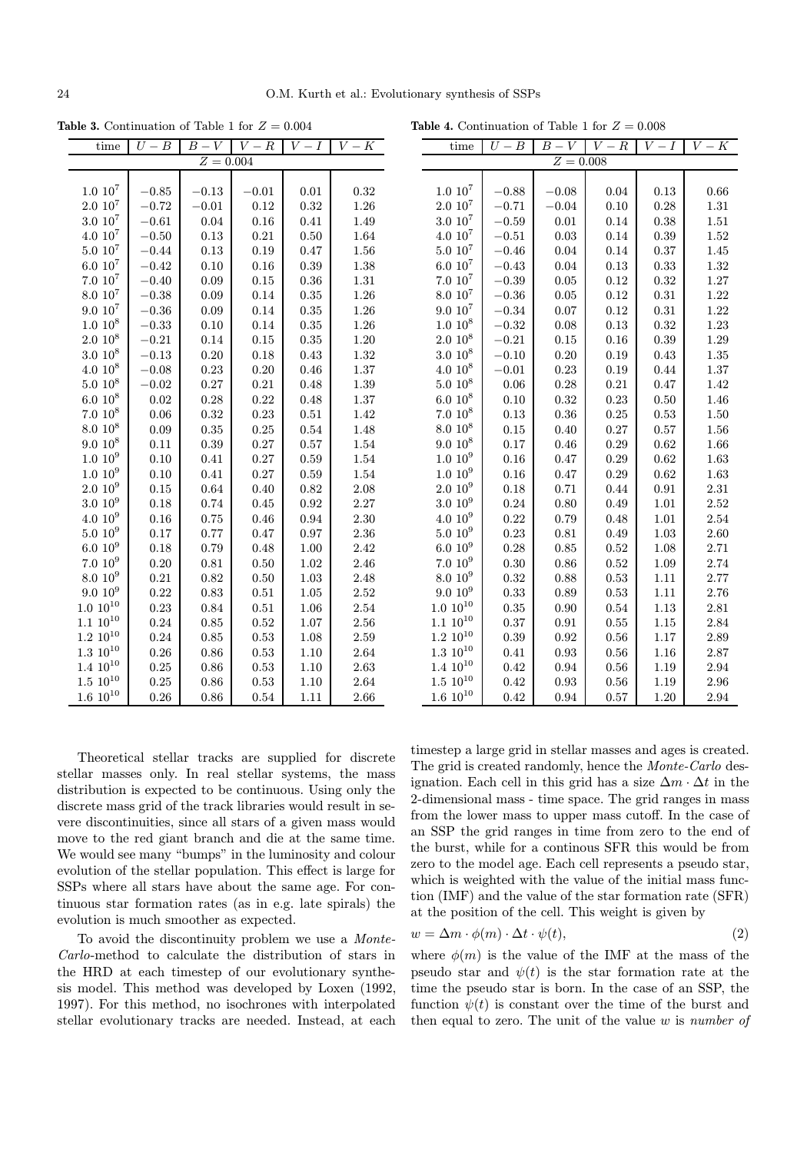$\overline{a}$ 

**Table 3.** Continuation of Table 1 for  $Z = 0.004$ 

| time                | $U - B$  | $B -$<br>V  | $\overline{V-R}$ | $\overline{I}$<br>V | $V - K$  |
|---------------------|----------|-------------|------------------|---------------------|----------|
|                     |          | $Z = 0.004$ |                  |                     |          |
|                     |          |             |                  |                     |          |
| $1.0 \; 10^7$       | $-0.85$  | $-0.13$     | $-0.01$          | 0.01                | 0.32     |
| $2.0 \; 10^7$       | $-0.72$  | $-0.01$     | 0.12             | 0.32                | 1.26     |
| $3.0\ 10^7$         | $-0.61$  | 0.04        | 0.16             | 0.41                | 1.49     |
| $4.0~10^7$          | $-0.50$  | 0.13        | 0.21             | 0.50                | 1.64     |
| $5.0 \; 10^7$       | $-0.44$  | 0.13        | 0.19             | 0.47                | 1.56     |
| $6.0 10^7$          | $-0.42$  | 0.10        | 0.16             | 0.39                | 1.38     |
| $7.0 \; 10^7$       | $-0.40$  | 0.09        | 0.15             | 0.36                | $1.31\,$ |
| $8.0 10^7$          | $-0.38$  | 0.09        | 0.14             | 0.35                | $1.26\,$ |
| $9.0\;10^7$         | $-0.36$  | 0.09        | 0.14             | 0.35                | 1.26     |
| $1.0 \, 10^8$       | $-0.33$  | 0.10        | 0.14             | 0.35                | 1.26     |
| $2.0\;10^8$         | $-0.21$  | 0.14        | 0.15             | 0.35                | 1.20     |
| $3.0\ 10^8$         | $-0.13$  | 0.20        | 0.18             | 0.43                | 1.32     |
| $4.0~10^8$          | $-0.08$  | 0.23        | 0.20             | 0.46                | 1.37     |
| $5.0 10^8$          | $-0.02$  | 0.27        | 0.21             | 0.48                | 1.39     |
| $6.0 10^8$          | 0.02     | 0.28        | 0.22             | 0.48                | 1.37     |
| $7.0~10^8$          | 0.06     | 0.32        | 0.23             | 0.51                | 1.42     |
| $8.0 \ 10^8$        | $0.09\,$ | 0.35        | 0.25             | 0.54                | 1.48     |
| $9.0~10^8$          | 0.11     | 0.39        | 0.27             | 0.57                | 1.54     |
| $1.0~10^{9}$        | 0.10     | 0.41        | 0.27             | 0.59                | 1.54     |
| $1.0~10^{9}$        | 0.10     | 0.41        | 0.27             | 0.59                | 1.54     |
| $2.010^{9}$         | 0.15     | 0.64        | 0.40             | 0.82                | 2.08     |
| $3.0 10^9$          | 0.18     | 0.74        | 0.45             | 0.92                | 2.27     |
| $4.0~10^{9}$        | 0.16     | 0.75        | 0.46             | 0.94                | 2.30     |
| $5.0\ 10^9$         | 0.17     | 0.77        | 0.47             | 0.97                | 2.36     |
| 6.0 10 <sup>9</sup> | 0.18     | 0.79        | 0.48             | 1.00                | 2.42     |
| $7.010^{9}$         | 0.20     | 0.81        | 0.50             | 1.02                | 2.46     |
| $8.0~10^{9}$        | 0.21     | 0.82        | 0.50             | 1.03                | 2.48     |
| $9.0~10^{9}$        | 0.22     | 0.83        | 0.51             | 1.05                | 2.52     |
| $1.0~10^{10}$       | 0.23     | 0.84        | 0.51             | 1.06                | 2.54     |
| $1.1~10^{10}$       | 0.24     | 0.85        | 0.52             | 1.07                | 2.56     |
| $1.2~10^{10}$       | 0.24     | 0.85        | 0.53             | 1.08                | 2.59     |
| $1.3\ 10^{10}$      | 0.26     | 0.86        | 0.53             | 1.10                | 2.64     |
| $1.4~10^{10}$       | 0.25     | 0.86        | 0.53             | 1.10                | 2.63     |
| $1.5\ 10^{10}$      | 0.25     | 0.86        | 0.53             | 1.10                | 2.64     |
| $1.6~10^{10}$       | 0.26     | 0.86        | 0.54             | 1.11                | 2.66     |

**Table 4.** Continuation of Table 1 for  $Z = 0.008$ 

| time                | $\overline{B}$<br>$U -$ | $\overline{B}$ $-$<br>$\overline{V}$ | $\overline{V}$ -<br>$\overline{R}$ | $\overline{V}$<br>$\overline{I}$ | $\overline{K}$<br>$\overline{V}$ |
|---------------------|-------------------------|--------------------------------------|------------------------------------|----------------------------------|----------------------------------|
|                     |                         | $Z = 0.008$                          |                                    |                                  |                                  |
|                     |                         |                                      |                                    |                                  |                                  |
| $1.0 \; 10^7$       | $-0.88$                 | $-0.08$                              | 0.04                               | 0.13                             | 0.66                             |
| $2.0\;10^{7}$       | $-0.71$                 | $-0.04$                              | 0.10                               | 0.28                             | 1.31                             |
| $3.0\ 10^7$         | $-0.59$                 | 0.01                                 | 0.14                               | 0.38                             | 1.51                             |
| $4.0\;10^{7}$       | $^{ -0.51}$             | 0.03                                 | 0.14                               | 0.39                             | 1.52                             |
| $5.0 10^7$          | $-0.46$                 | 0.04                                 | 0.14                               | 0.37                             | 1.45                             |
| $6.0 10^{7}$        | $-0.43$                 | 0.04                                 | 0.13                               | 0.33                             | 1.32                             |
| $7.0\ 10^7$         | $-0.39$                 | 0.05                                 | 0.12                               | 0.32                             | 1.27                             |
| $8.0 10^7$          | $-0.36$                 | 0.05                                 | 0.12                               | 0.31                             | 1.22                             |
| $9.0 10^7$          | $-0.34$                 | 0.07                                 | 0.12                               | 0.31                             | 1.22                             |
| $1.0 \; 10^8$       | $-0.32$                 | 0.08                                 | 0.13                               | 0.32                             | 1.23                             |
| $2.0\ 10^8$         | $-0.21$                 | 0.15                                 | 0.16                               | 0.39                             | 1.29                             |
| $3.0 10^8$          | $-0.10$                 | 0.20                                 | 0.19                               | 0.43                             | 1.35                             |
| $4.0 10^8$          | $-0.01$                 | 0.23                                 | 0.19                               | 0.44                             | 1.37                             |
| $5.0\ 10^8$         | 0.06                    | 0.28                                 | 0.21                               | 0.47                             | 1.42                             |
| $6.0 10^8$          | 0.10                    | 0.32                                 | 0.23                               | 0.50                             | 1.46                             |
| $7.0\ 10^8$         | 0.13                    | 0.36                                 | 0.25                               | 0.53                             | 1.50                             |
| $8.0 10^8$          | 0.15                    | 0.40                                 | 0.27                               | 0.57                             | 1.56                             |
| $9.0 10^8$          | 0.17                    | 0.46                                 | 0.29                               | 0.62                             | 1.66                             |
| $1.0 10^{9}$        | 0.16                    | 0.47                                 | 0.29                               | 0.62                             | 1.63                             |
| 1.0 10 <sup>9</sup> | 0.16                    | 0.47                                 | 0.29                               | 0.62                             | 1.63                             |
| $2.010^{9}$         | 0.18                    | 0.71                                 | 0.44                               | 0.91                             | 2.31                             |
| $3.0 10^{9}$        | 0.24                    | 0.80                                 | 0.49                               | 1.01                             | 2.52                             |
| $4.010^{9}$         | 0.22                    | 0.79                                 | 0.48                               | 1.01                             | 2.54                             |
| $5.0\ 10^9$         | 0.23                    | 0.81                                 | 0.49                               | 1.03                             | 2.60                             |
| $6.0 10^{9}$        | 0.28                    | 0.85                                 | 0.52                               | 1.08                             | 2.71                             |
| $7.010^{9}$         | 0.30                    | 0.86                                 | 0.52                               | 1.09                             | 2.74                             |
| $8.0 10^{9}$        | 0.32                    | 0.88                                 | 0.53                               | 1.11                             | 2.77                             |
| $9.010^{9}$         | 0.33                    | 0.89                                 | 0.53                               | 1.11                             | 2.76                             |
| $1.0 10^{10}$       | 0.35                    | 0.90                                 | 0.54                               | 1.13                             | 2.81                             |
| $1.1~10^{10}$       | 0.37                    | 0.91                                 | 0.55                               | 1.15                             | 2.84                             |
| $1.2~10^{10}$       | 0.39                    | 0.92                                 | 0.56                               | 1.17                             | 2.89                             |
| $1.3\ 10^{10}$      | 0.41                    | 0.93                                 | 0.56                               | 1.16                             | 2.87                             |
| $1.4~10^{10}$       | 0.42                    | 0.94                                 | 0.56                               | 1.19                             | 2.94                             |
| $1.5\ 10^{10}$      | 0.42                    | 0.93                                 | 0.56                               | 1.19                             | 2.96                             |
| $1.6~10^{10}$       | 0.42                    | 0.94                                 | 0.57                               | 1.20                             | 2.94                             |

Theoretical stellar tracks are supplied for discrete stellar masses only. In real stellar systems, the mass distribution is expected to be continuous. Using only the discrete mass grid of the track libraries would result in severe discontinuities, since all stars of a given mass would move to the red giant branch and die at the same time. We would see many "bumps" in the luminosity and colour evolution of the stellar population. This effect is large for SSPs where all stars have about the same age. For continuous star formation rates (as in e.g. late spirals) the evolution is much smoother as expected.

To avoid the discontinuity problem we use a Monte-Carlo-method to calculate the distribution of stars in the HRD at each timestep of our evolutionary synthesis model. This method was developed by Loxen (1992, 1997). For this method, no isochrones with interpolated stellar evolutionary tracks are needed. Instead, at each

timestep a large grid in stellar masses and ages is created. The grid is created randomly, hence the Monte-Carlo designation. Each cell in this grid has a size  $\Delta m \cdot \Delta t$  in the 2-dimensional mass - time space. The grid ranges in mass from the lower mass to upper mass cutoff. In the case of an SSP the grid ranges in time from zero to the end of the burst, while for a continous SFR this would be from zero to the model age. Each cell represents a pseudo star, which is weighted with the value of the initial mass function (IMF) and the value of the star formation rate (SFR) at the position of the cell. This weight is given by

$$
w = \Delta m \cdot \phi(m) \cdot \Delta t \cdot \psi(t), \qquad (2)
$$

where  $\phi(m)$  is the value of the IMF at the mass of the pseudo star and  $\psi(t)$  is the star formation rate at the time the pseudo star is born. In the case of an SSP, the function  $\psi(t)$  is constant over the time of the burst and then equal to zero. The unit of the value  $w$  is *number of*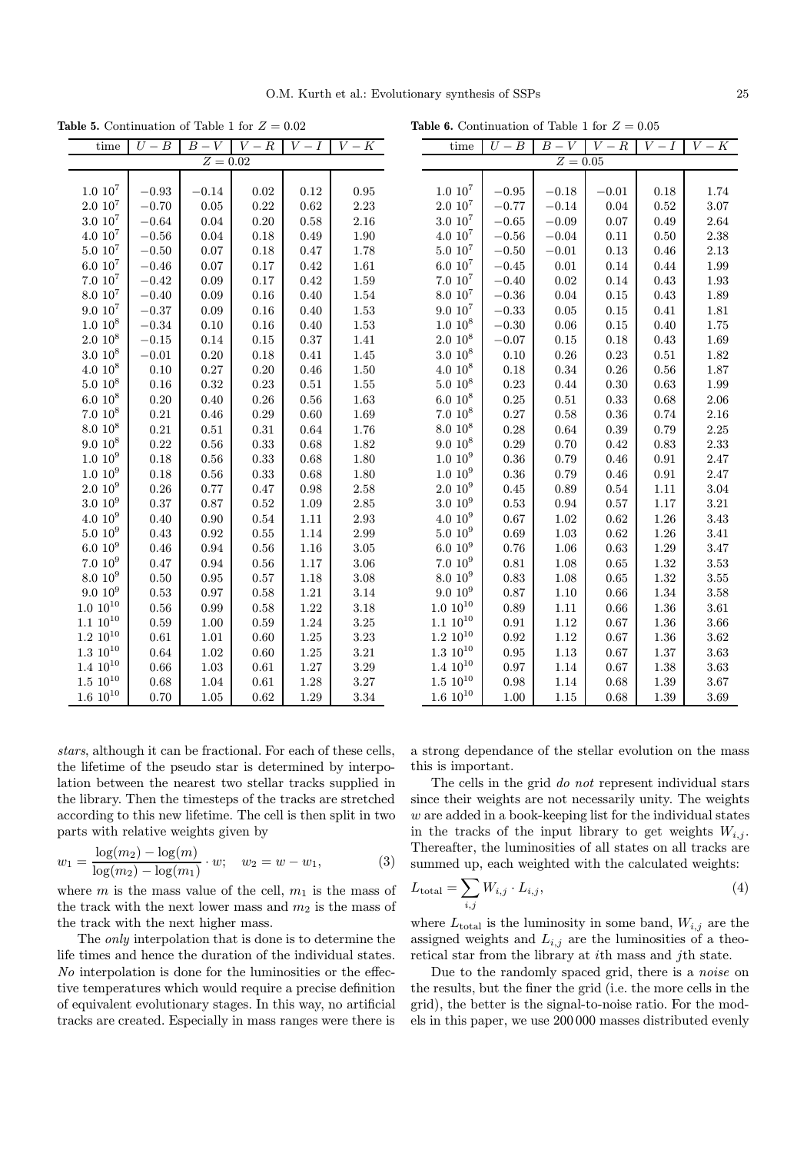$\overline{a}$ 

**Table 5.** Continuation of Table 1 for  $Z = 0.02$ 

| time                | $U-B$   | $B-V$      | $V-R$ | $V-I$ | $V-K$    |
|---------------------|---------|------------|-------|-------|----------|
|                     |         | $Z = 0.02$ |       |       |          |
|                     |         |            |       |       |          |
| $1.0 \; 10^7$       | $-0.93$ | $-0.14$    | 0.02  | 0.12  | 0.95     |
| $2.0\ 10^7$         | $-0.70$ | 0.05       | 0.22  | 0.62  | 2.23     |
| $3.0\ 10^7$         | $-0.64$ | 0.04       | 0.20  | 0.58  | 2.16     |
| $4.0~10^7$          | $-0.56$ | 0.04       | 0.18  | 0.49  | 1.90     |
| $5.0\ 10^7$         | $-0.50$ | 0.07       | 0.18  | 0.47  | 1.78     |
| $6.0\ 10^{7}$       | $-0.46$ | 0.07       | 0.17  | 0.42  | 1.61     |
| $7.0\ 10^7$         | $-0.42$ | 0.09       | 0.17  | 0.42  | 1.59     |
| $8.0 \; 10^7$       | $-0.40$ | 0.09       | 0.16  | 0.40  | 1.54     |
| $9.0\ 10^7$         | $-0.37$ | 0.09       | 0.16  | 0.40  | 1.53     |
| $1.0~10^{8}$        | $-0.34$ | 0.10       | 0.16  | 0.40  | 1.53     |
| $2.0~10^8$          | $-0.15$ | 0.14       | 0.15  | 0.37  | 1.41     |
| $3.0\ 10^8$         | $-0.01$ | 0.20       | 0.18  | 0.41  | 1.45     |
| $4.0~10^8$          | 0.10    | 0.27       | 0.20  | 0.46  | 1.50     |
| $5.0 10^8$          | 0.16    | 0.32       | 0.23  | 0.51  | 1.55     |
| $6.0 10^8$          | 0.20    | 0.40       | 0.26  | 0.56  | 1.63     |
| $7.0~10^8$          | 0.21    | 0.46       | 0.29  | 0.60  | 1.69     |
| $8.0 \ 10^8$        | 0.21    | 0.51       | 0.31  | 0.64  | 1.76     |
| $9.0\ 10^8$         | 0.22    | 0.56       | 0.33  | 0.68  | 1.82     |
| $1.0~10^{9}$        | 0.18    | 0.56       | 0.33  | 0.68  | 1.80     |
| $1.0~10^{9}$        | 0.18    | $0.56\,$   | 0.33  | 0.68  | 1.80     |
| $2.0~10^{9}$        | 0.26    | 0.77       | 0.47  | 0.98  | 2.58     |
| $3.0 10^{9}$        | 0.37    | 0.87       | 0.52  | 1.09  | 2.85     |
| $4.0~10^{9}$        | 0.40    | 0.90       | 0.54  | 1.11  | 2.93     |
| $5.0\ 10^9$         | 0.43    | 0.92       | 0.55  | 1.14  | 2.99     |
| 6.0 10 <sup>9</sup> | 0.46    | 0.94       | 0.56  | 1.16  | 3.05     |
| $7.0\ 10^9$         | 0.47    | 0.94       | 0.56  | 1.17  | 3.06     |
| $8.0~10^{9}$        | 0.50    | 0.95       | 0.57  | 1.18  | $3.08\,$ |
| $9.0~10^{9}$        | 0.53    | 0.97       | 0.58  | 1.21  | 3.14     |
| $1.0~10^{10}$       | 0.56    | 0.99       | 0.58  | 1.22  | 3.18     |
| $10^{10}$<br>1.1    | 0.59    | 1.00       | 0.59  | 1.24  | 3.25     |
| $1.2 \ 10^{10}$     | 0.61    | 1.01       | 0.60  | 1.25  | 3.23     |
| $1.3\ 10^{10}$      | 0.64    | 1.02       | 0.60  | 1.25  | 3.21     |
| $1.4 \,\, 10^{10}$  | 0.66    | 1.03       | 0.61  | 1.27  | 3.29     |
| $1.5 \,\, 10^{10}$  | 0.68    | 1.04       | 0.61  | 1.28  | 3.27     |
| $1.6\ 10^{10}$      | 0.70    | 1.05       | 0.62  | 1.29  | 3.34     |

**Table 6.** Continuation of Table 1 for  $Z = 0.05$ 

| time                | $U-B$       | В<br>V                | V<br>$\boldsymbol{R}$ | V<br>$\overline{I}$ | V<br>$\overline{K}$ |
|---------------------|-------------|-----------------------|-----------------------|---------------------|---------------------|
|                     |             | $\overline{Z} = 0.05$ |                       |                     |                     |
|                     |             |                       |                       |                     |                     |
| $1.0\ 10^7$         | $-0.95$     | $-0.18$               | $-0.01$               | 0.18                | 1.74                |
| $2.0\ 10^7$         | $-0.77$     | $-0.14$               | 0.04                  | 0.52                | 3.07                |
| $3.0\ 10^7$         | $-0.65$     | $-0.09$               | 0.07                  | 0.49                | 2.64                |
| $4.0\ 10^7$         | $-0.56$     | $-0.04$               | 0.11                  | 0.50                | 2.38                |
| $5.0 \; 10^7$       | $-0.50$     | $-0.01$               | 0.13                  | 0.46                | 2.13                |
| $6.0\ 10^7$         | $-0.45$     | 0.01                  | 0.14                  | 0.44                | 1.99                |
| $7.0\;10^7$         | $-0.40$     | 0.02                  | 0.14                  | 0.43                | 1.93                |
| $8.0 10^7$          | $-0.36$     | 0.04                  | 0.15                  | 0.43                | 1.89                |
| $9.0 10^7$          | $^{ -0.33}$ | 0.05                  | 0.15                  | 0.41                | 1.81                |
| $1.0 10^8$          | $-0.30$     | 0.06                  | 0.15                  | 0.40                | 1.75                |
| $2.0 10^8$          | $-0.07$     | 0.15                  | 0.18                  | 0.43                | 1.69                |
| $3.0\ 10^8$         | 0.10        | 0.26                  | 0.23                  | 0.51                | 1.82                |
| $4.010^{8}$         | 0.18        | 0.34                  | 0.26                  | 0.56                | 1.87                |
| $5.0 10^8$          | 0.23        | 0.44                  | 0.30                  | 0.63                | 1.99                |
| $6.0 10^8$          | 0.25        | 0.51                  | 0.33                  | 0.68                | 2.06                |
| $7.010^{8}$         | 0.27        | 0.58                  | 0.36                  | 0.74                | 2.16                |
| $8.0 10^8$          | 0.28        | 0.64                  | 0.39                  | 0.79                | 2.25                |
| $9.0 10^8$          | 0.29        | 0.70                  | 0.42                  | 0.83                | 2.33                |
| $1.0 10^{9}$        | 0.36        | 0.79                  | 0.46                  | 0.91                | 2.47                |
| 1.0 10 <sup>9</sup> | 0.36        | 0.79                  | 0.46                  | 0.91                | 2.47                |
| $2.010^{9}$         | 0.45        | 0.89                  | 0.54                  | 1.11                | 3.04                |
| $3.0 10^{9}$        | 0.53        | 0.94                  | 0.57                  | 1.17                | 3.21                |
| $4.0~10^{9}$        | 0.67        | 1.02                  | 0.62                  | 1.26                | 3.43                |
| $5.010^{9}$         | 0.69        | 1.03                  | 0.62                  | 1.26                | 3.41                |
| $6.0 10^{9}$        | 0.76        | 1.06                  | 0.63                  | 1.29                | 3.47                |
| $7.010^{9}$         | 0.81        | 1.08                  | 0.65                  | 1.32                | 3.53                |
| $8.0 10^{9}$        | 0.83        | 1.08                  | 0.65                  | 1.32                | 3.55                |
| $9.0 10^{9}$        | 0.87        | 1.10                  | 0.66                  | 1.34                | 3.58                |
| $1.0\ 10^{10}$      | 0.89        | 1.11                  | 0.66                  | 1.36                | 3.61                |
| $1.1~10^{10}$       | 0.91        | 1.12                  | 0.67                  | 1.36                | 3.66                |
| $1.2 \,\, 10^{10}$  | 0.92        | 1.12                  | 0.67                  | 1.36                | 3.62                |
| $1.3 \,\, 10^{10}$  | 0.95        | 1.13                  | 0.67                  | 1.37                | 3.63                |
| $1.4~10^{10}$       | 0.97        | 1.14                  | 0.67                  | 1.38                | 3.63                |
| $1.5\ 10^{10}$      | 0.98        | 1.14                  | 0.68                  | 1.39                | 3.67                |
| $1.6~10^{10}$       | 1.00        | 1.15                  | 0.68                  | 1.39                | 3.69                |

stars, although it can be fractional. For each of these cells, the lifetime of the pseudo star is determined by interpolation between the nearest two stellar tracks supplied in the library. Then the timesteps of the tracks are stretched according to this new lifetime. The cell is then split in two parts with relative weights given by

$$
w_1 = \frac{\log(m_2) - \log(m)}{\log(m_2) - \log(m_1)} \cdot w; \quad w_2 = w - w_1,
$$
 (3)

where m is the mass value of the cell,  $m_1$  is the mass of the track with the next lower mass and  $m_2$  is the mass of the track with the next higher mass.

The only interpolation that is done is to determine the life times and hence the duration of the individual states. No interpolation is done for the luminosities or the effective temperatures which would require a precise definition of equivalent evolutionary stages. In this way, no artificial tracks are created. Especially in mass ranges were there is

a strong dependance of the stellar evolution on the mass this is important.

The cells in the grid do not represent individual stars since their weights are not necessarily unity. The weights w are added in a book-keeping list for the individual states in the tracks of the input library to get weights  $W_{i,j}$ . Thereafter, the luminosities of all states on all tracks are summed up, each weighted with the calculated weights:

$$
L_{\text{total}} = \sum_{i,j} W_{i,j} \cdot L_{i,j},\tag{4}
$$

where  $L_{\text{total}}$  is the luminosity in some band,  $W_{i,j}$  are the assigned weights and  $L_{i,j}$  are the luminosities of a theoretical star from the library at ith mass and jth state.

Due to the randomly spaced grid, there is a *noise* on the results, but the finer the grid (i.e. the more cells in the grid), the better is the signal-to-noise ratio. For the models in this paper, we use 200 000 masses distributed evenly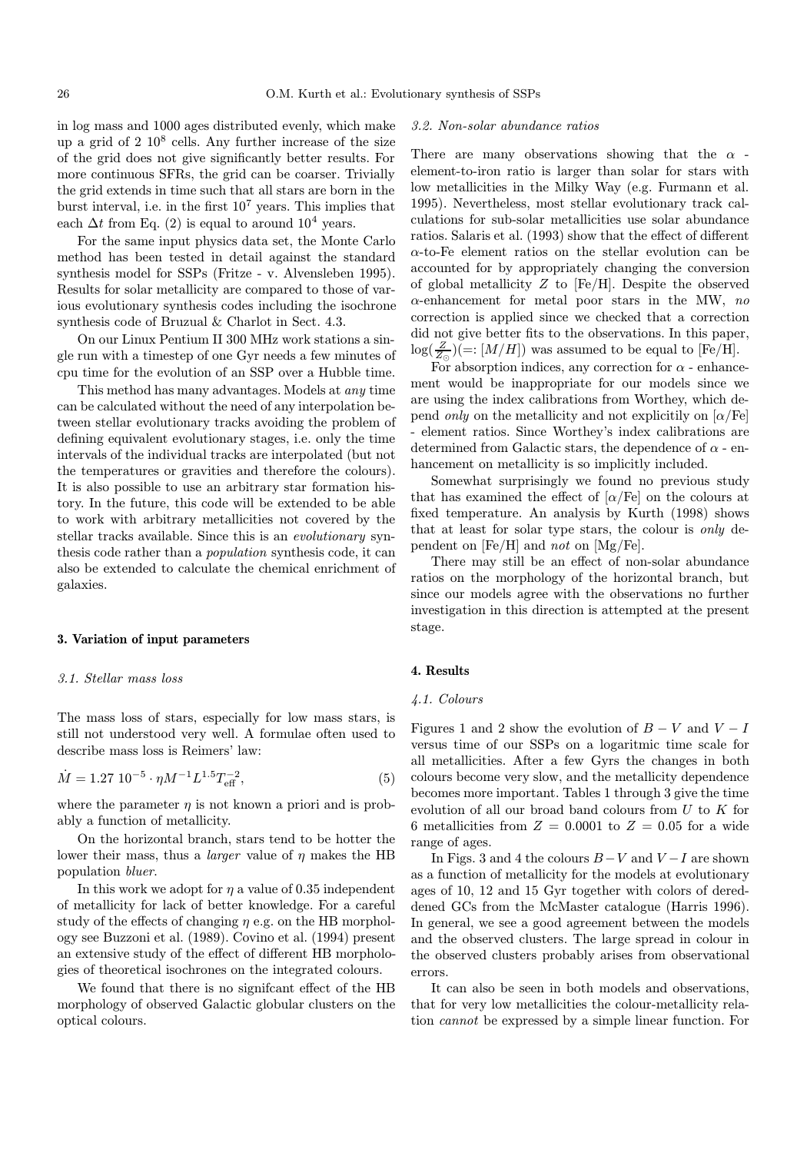in log mass and 1000 ages distributed evenly, which make up a grid of  $2 \times 10^8$  cells. Any further increase of the size of the grid does not give significantly better results. For more continuous SFRs, the grid can be coarser. Trivially the grid extends in time such that all stars are born in the burst interval, i.e. in the first  $10^7$  years. This implies that each  $\Delta t$  from Eq. (2) is equal to around 10<sup>4</sup> years.

For the same input physics data set, the Monte Carlo method has been tested in detail against the standard synthesis model for SSPs (Fritze - v. Alvensleben 1995). Results for solar metallicity are compared to those of various evolutionary synthesis codes including the isochrone synthesis code of Bruzual & Charlot in Sect. 4.3.

On our Linux Pentium II 300 MHz work stations a single run with a timestep of one Gyr needs a few minutes of cpu time for the evolution of an SSP over a Hubble time.

This method has many advantages. Models at any time can be calculated without the need of any interpolation between stellar evolutionary tracks avoiding the problem of defining equivalent evolutionary stages, i.e. only the time intervals of the individual tracks are interpolated (but not the temperatures or gravities and therefore the colours). It is also possible to use an arbitrary star formation history. In the future, this code will be extended to be able to work with arbitrary metallicities not covered by the stellar tracks available. Since this is an *evolutionary* synthesis code rather than a population synthesis code, it can also be extended to calculate the chemical enrichment of galaxies.

# 3. Variation of input parameters

#### 3.1. Stellar mass loss

The mass loss of stars, especially for low mass stars, is still not understood very well. A formulae often used to describe mass loss is Reimers' law:

$$
\dot{M} = 1.27 \ 10^{-5} \cdot \eta M^{-1} L^{1.5} T_{\text{eff}}^{-2},\tag{5}
$$

where the parameter  $\eta$  is not known a priori and is probably a function of metallicity.

On the horizontal branch, stars tend to be hotter the lower their mass, thus a *larger* value of  $\eta$  makes the HB population bluer.

In this work we adopt for  $\eta$  a value of 0.35 independent of metallicity for lack of better knowledge. For a careful study of the effects of changing  $\eta$  e.g. on the HB morphology see Buzzoni et al. (1989). Covino et al. (1994) present an extensive study of the effect of different HB morphologies of theoretical isochrones on the integrated colours.

We found that there is no signifcant effect of the HB morphology of observed Galactic globular clusters on the optical colours.

#### 3.2. Non-solar abundance ratios

There are many observations showing that the  $\alpha$ element-to-iron ratio is larger than solar for stars with low metallicities in the Milky Way (e.g. Furmann et al. 1995). Nevertheless, most stellar evolutionary track calculations for sub-solar metallicities use solar abundance ratios. Salaris et al. (1993) show that the effect of different  $\alpha$ -to-Fe element ratios on the stellar evolution can be accounted for by appropriately changing the conversion of global metallicity Z to [Fe/H]. Despite the observed  $\alpha$ -enhancement for metal poor stars in the MW, no correction is applied since we checked that a correction did not give better fits to the observations. In this paper,  $\log(\frac{Z}{Z_{\odot}}) (=:[M/H])$  was assumed to be equal to [Fe/H].

For absorption indices, any correction for  $\alpha$  - enhancement would be inappropriate for our models since we are using the index calibrations from Worthey, which depend *only* on the metallicity and not explicitily on  $\alpha$ /Fe] - element ratios. Since Worthey's index calibrations are determined from Galactic stars, the dependence of  $\alpha$  - enhancement on metallicity is so implicitly included.

Somewhat surprisingly we found no previous study that has examined the effect of  $\alpha$ /Fe] on the colours at fixed temperature. An analysis by Kurth (1998) shows that at least for solar type stars, the colour is only dependent on  $[Fe/H]$  and not on  $[Mg/Fe]$ .

There may still be an effect of non-solar abundance ratios on the morphology of the horizontal branch, but since our models agree with the observations no further investigation in this direction is attempted at the present stage.

# 4. Results

#### 4.1. Colours

Figures 1 and 2 show the evolution of  $B - V$  and  $V - I$ versus time of our SSPs on a logaritmic time scale for all metallicities. After a few Gyrs the changes in both colours become very slow, and the metallicity dependence becomes more important. Tables 1 through 3 give the time evolution of all our broad band colours from  $U$  to  $K$  for 6 metallicities from  $Z = 0.0001$  to  $Z = 0.05$  for a wide range of ages.

In Figs. 3 and 4 the colours  $B-V$  and  $V-I$  are shown as a function of metallicity for the models at evolutionary ages of 10, 12 and 15 Gyr together with colors of dereddened GCs from the McMaster catalogue (Harris 1996). In general, we see a good agreement between the models and the observed clusters. The large spread in colour in the observed clusters probably arises from observational errors.

It can also be seen in both models and observations, that for very low metallicities the colour-metallicity relation cannot be expressed by a simple linear function. For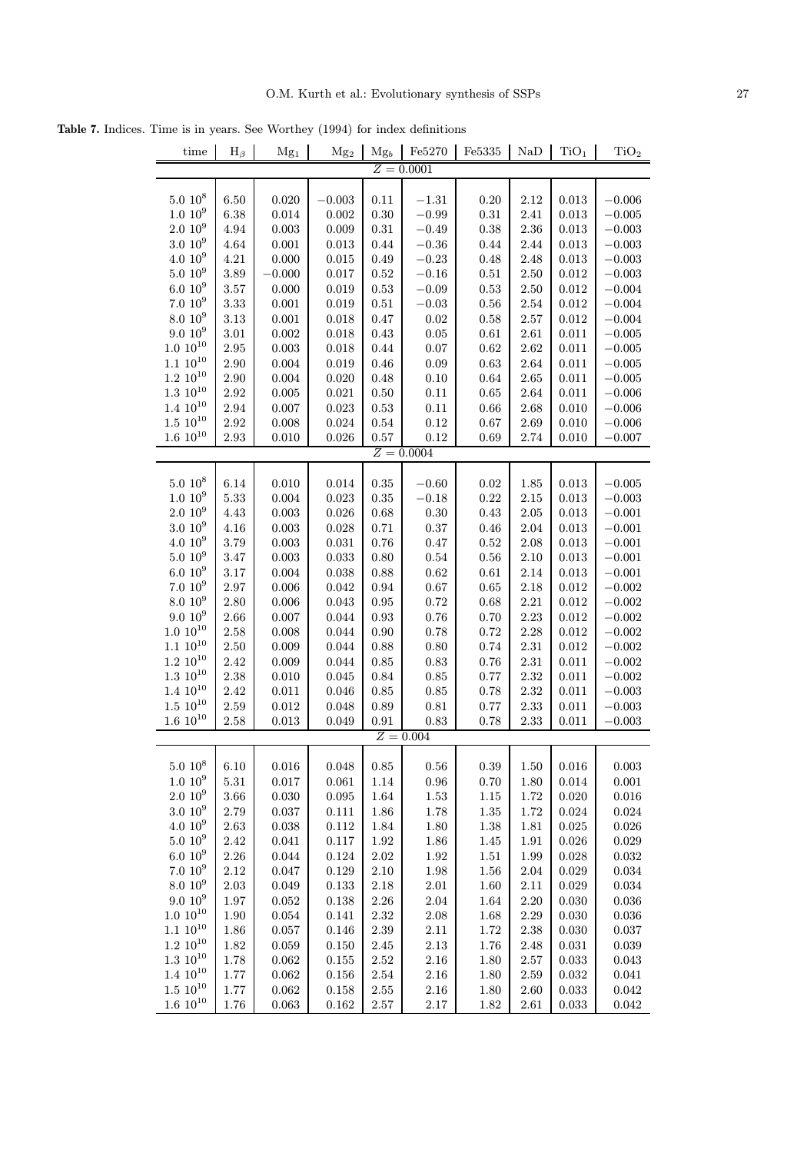Table 7. Indices. Time is in years. See Worthey (1994) for index definitions

| time                | $H_{\beta}$ | Mg <sub>1</sub> | Mg <sub>2</sub> | $Mg_b$     | Fe5270       | $\rm Fe5335$ | NaD      | TiO <sub>1</sub> | TiO <sub>2</sub> |
|---------------------|-------------|-----------------|-----------------|------------|--------------|--------------|----------|------------------|------------------|
|                     |             |                 |                 |            | $Z = 0.0001$ |              |          |                  |                  |
|                     |             |                 |                 |            |              |              |          |                  |                  |
| $5.0\ 10^8$         | 6.50        | 0.020           | $-0.003$        | 0.11       | $-1.31$      | 0.20         | 2.12     | 0.013            | $-0.006$         |
| $1.010^{9}$         | 6.38        | 0.014           | 0.002           | 0.30       | $-0.99$      | 0.31         | $2.41\,$ | 0.013            | $-0.005$         |
| $2.010^{9}$         | 4.94        | 0.003           | 0.009           | 0.31       | $-0.49$      | 0.38         | $2.36\,$ | 0.013            | $-0.003$         |
| 3.0 10 <sup>9</sup> | 4.64        | 0.001           | 0.013           | 0.44       | $-0.36$      | 0.44         | 2.44     | 0.013            | $-0.003$         |
| 4.0 10 <sup>9</sup> | 4.21        | 0.000           | 0.015           | 0.49       | $-0.23$      | 0.48         | 2.48     | 0.013            | $-0.003$         |
| $5.0\ 10^9$         | 3.89        | $-0.000$        | 0.017           | 0.52       | $-0.16$      | $0.51\,$     | $2.50\,$ | 0.012            | $-0.003$         |
| $6.010^{9}$         | 3.57        | 0.000           | 0.019           | 0.53       | $-0.09$      | 0.53         | 2.50     | 0.012            | $-0.004$         |
| $7.010^{9}$         | 3.33        | 0.001           | 0.019           | 0.51       | $-0.03$      | 0.56         | 2.54     | 0.012            | $-0.004$         |
| 8.0 10 <sup>9</sup> | 3.13        | 0.001           | 0.018           | 0.47       | 0.02         | 0.58         | $2.57\,$ | 0.012            | $-0.004$         |
| $9.010^{9}$         | 3.01        | 0.002           | 0.018           | 0.43       | 0.05         | 0.61         | 2.61     | 0.011            | $-0.005$         |
| $1.0 10^{10}$       | 2.95        | 0.003           | 0.018           | 0.44       | 0.07         | 0.62         | 2.62     | 0.011            | $-0.005$         |
| $1.1 \ 10^{10}$     | 2.90        | 0.004           | 0.019           | 0.46       | 0.09         | 0.63         | 2.64     | 0.011            | $-0.005$         |
| $1.2~10^{10}$       |             |                 |                 |            |              |              |          |                  |                  |
| $1.3\ 10^{10}$      | 2.90        | 0.004           | 0.020           | 0.48       | 0.10         | 0.64         | 2.65     | 0.011            | $-0.005$         |
| $1.4~10^{10}$       | 2.92        | 0.005           | $\,0.021\,$     | 0.50       | 0.11         | 0.65         | 2.64     | 0.011            | $-0.006$         |
|                     | 2.94        | 0.007           | 0.023           | $\rm 0.53$ | 0.11         | 0.66         | 2.68     | 0.010            | $-0.006$         |
| $1.5\ 10^{10}$      | 2.92        | 0.008           | 0.024           | 0.54       | 0.12         | 0.67         | $2.69\,$ | 0.010            | $-0.006$         |
| $1.6 10^{10}$       | 2.93        | 0.010           | 0.026           | 0.57       | 0.12         | 0.69         | 2.74     | 0.010            | $-0.007$         |
|                     |             |                 |                 |            | $Z = 0.0004$ |              |          |                  |                  |
|                     |             |                 |                 |            |              |              |          |                  |                  |
| $5.0 10^8$          | 6.14        | 0.010           | 0.014           | 0.35       | $-0.60$      | 0.02         | 1.85     | 0.013            | $-0.005$         |
| 1.0 10 <sup>9</sup> | 5.33        | 0.004           | 0.023           | 0.35       | $-0.18$      | 0.22         | 2.15     | 0.013            | $-0.003$         |
| $2.010^{9}$         | 4.43        | 0.003           | 0.026           | 0.68       | 0.30         | 0.43         | 2.05     | 0.013            | $-0.001$         |
| $3.0\ 10^9$         | 4.16        | 0.003           | 0.028           | 0.71       | $0.37\,$     | 0.46         | 2.04     | 0.013            | $-0.001$         |
| $4.0 10^{9}$        | 3.79        | 0.003           | 0.031           | 0.76       | 0.47         | 0.52         | 2.08     | 0.013            | $-0.001$         |
| $5.010^{9}$         | 3.47        | 0.003           | 0.033           | 0.80       | 0.54         | 0.56         | 2.10     | 0.013            | $-0.001$         |
| $6.010^{9}$         | 3.17        | 0.004           | 0.038           | 0.88       | 0.62         | 0.61         | 2.14     | 0.013            | $-0.001$         |
| $7.010^{9}$         | 2.97        | 0.006           | 0.042           | 0.94       | $0.67\,$     | 0.65         | 2.18     | 0.012            | $-0.002$         |
| $8.0 10^{9}$        | 2.80        | 0.006           | 0.043           | 0.95       | 0.72         | 0.68         | 2.21     | 0.012            | $-0.002$         |
| 9.0 10 <sup>9</sup> | 2.66        | 0.007           | 0.044           | 0.93       | 0.76         | 0.70         | 2.23     | 0.012            | $-0.002$         |
| $1.0 10^{10}$       | 2.58        | 0.008           | 0.044           | 0.90       | 0.78         | 0.72         | $2.28\,$ | 0.012            | $-0.002$         |
| $1.1~10^{10}$       | 2.50        | 0.009           | 0.044           | 0.88       | 0.80         | 0.74         | $2.31\,$ | 0.012            | $-0.002$         |
| $1.2~10^{10}$       | 2.42        | 0.009           | 0.044           | 0.85       | 0.83         | 0.76         | 2.31     | 0.011            | $-0.002$         |
| $1.3~10^{10}$       | 2.38        | 0.010           | 0.045           | 0.84       | 0.85         | 0.77         | $2.32\,$ | 0.011            | $-0.002$         |
| $1.4~10^{10}$       | 2.42        | 0.011           | 0.046           | 0.85       | 0.85         | 0.78         | $2.32\,$ | 0.011            | $-0.003$         |
| $1.5\ 10^{10}$      | 2.59        | 0.012           | 0.048           | 0.89       | 0.81         | 0.77         | 2.33     | 0.011            | $-0.003$         |
| $1.6~10^{10}$       | 2.58        | 0.013           | 0.049           | 0.91       | 0.83         | 0.78         | 2.33     | 0.011            | $-0.003$         |
|                     |             |                 |                 |            | $Z = 0.004$  |              |          |                  |                  |
|                     |             |                 |                 |            |              |              |          |                  |                  |
| $5.0 10^8$          | 6.10        | 0.016           | 0.048           | 0.85       | $0.56\,$     | 0.39         | 1.50     | 0.016            | 0.003            |
| $1.010^{9}$         | $5.31\,$    | 0.017           | 0.061           | 1.14       | $\rm 0.96$   | $0.70\,$     | 1.80     | 0.014            | 0.001            |
| $2.0 10^{9}$        | $3.66\,$    | 0.030           | $\,0.095\,$     | 1.64       | $1.53\,$     | $1.15\,$     | 1.72     | 0.020            | 0.016            |
| $3.0\ 10^9$         | 2.79        | 0.037           | 0.111           | 1.86       | $1.78\,$     | $1.35\,$     | 1.72     | 0.024            | 0.024            |
| $4.010^{9}$         | 2.63        | 0.038           | 0.112           | 1.84       | 1.80         | $1.38\,$     | 1.81     | 0.025            | 0.026            |
| $5.010^{9}$         | 2.42        | 0.041           | 0.117           | $1.92\,$   | $1.86\,$     | $1.45\,$     | 1.91     | 0.026            | 0.029            |
| $6.010^{9}$         | $2.26\,$    | 0.044           | 0.124           | $2.02\,$   | 1.92         | $1.51\,$     | 1.99     | 0.028            | 0.032            |
| $7.010^{9}$         | 2.12        | 0.047           | 0.129           | 2.10       | 1.98         | $1.56\,$     | $2.04\,$ | 0.029            | 0.034            |
| 8.0 10 <sup>9</sup> | $2.03\,$    | 0.049           | 0.133           | $2.18\,$   | $2.01\,$     | 1.60         | $2.11\,$ | 0.029            | 0.034            |
| $9.010^{9}$         |             |                 |                 |            |              |              |          |                  |                  |
| $1.0 10^{10}$       | $1.97\,$    | $\,0.052\,$     | $\,0.138\,$     | $2.26\,$   | 2.04         | $1.64\,$     | $2.20\,$ | 0.030            | 0.036            |
|                     | 1.90        | 0.054           | 0.141           | $2.32\,$   | $2.08\,$     | $1.68\,$     | $2.29\,$ | 0.030            | 0.036            |
| $1.1~10^{10}$       | $1.86\,$    | 0.057           | 0.146           | $2.39\,$   | $2.11\,$     | $1.72\,$     | $2.38\,$ | 0.030            | 0.037            |
| $1.2 \,\, 10^{10}$  | 1.82        | 0.059           | 0.150           | 2.45       | 2.13         | $1.76\,$     | 2.48     | 0.031            | 0.039            |
| $1.3~10^{10}$       | 1.78        | 0.062           | $\!0.155$       | $2.52\,$   | $2.16\,$     | 1.80         | $2.57\,$ | 0.033            | 0.043            |
| $1.4~10^{10}$       | $1.77\,$    | 0.062           | 0.156           | $2.54\,$   | $2.16\,$     | 1.80         | 2.59     | 0.032            | 0.041            |
| $1.5 \ 10^{10}$     | $1.77\,$    | 0.062           | 0.158           | $2.55\,$   | $2.16\,$     | 1.80         | $2.60\,$ | 0.033            | 0.042            |
| $1.6 10^{10}$       | $1.76\,$    | $\,0.063\,$     | 0.162           | $2.57\,$   | $2.17\,$     | 1.82         | $2.61\,$ | 0.033            | $\,0.042\,$      |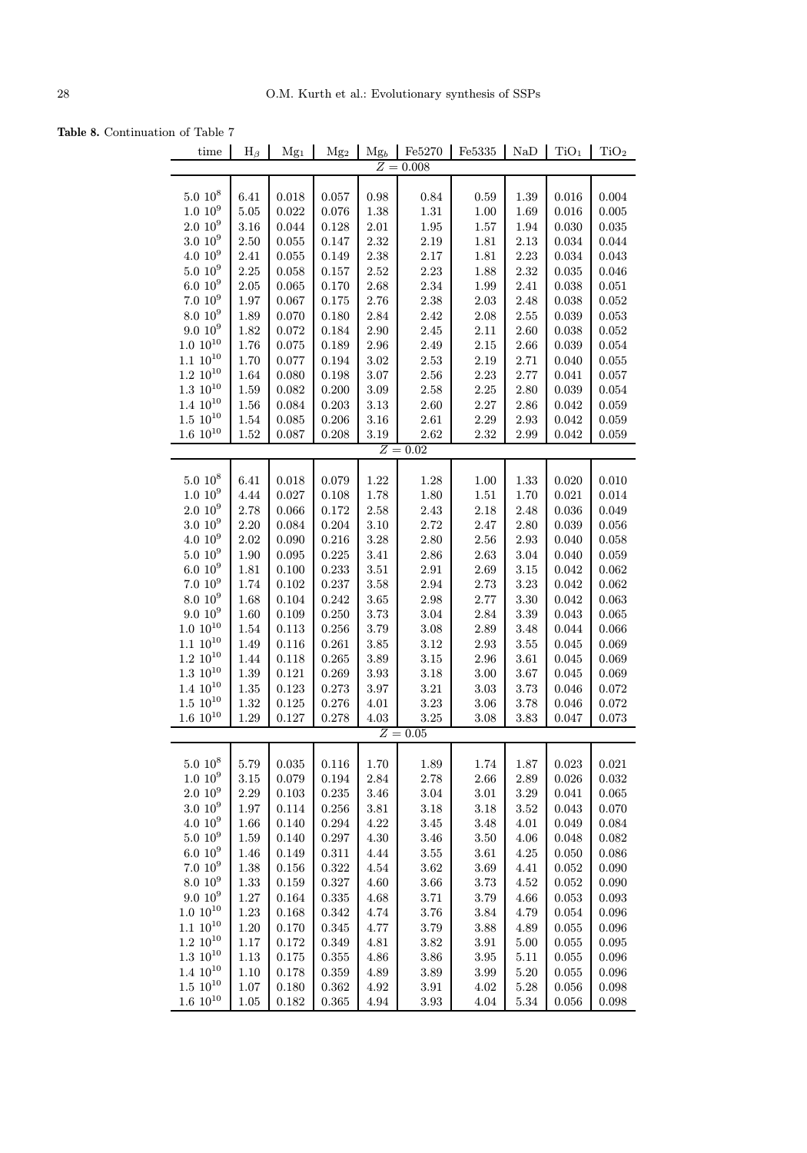Table 8. Continuation of Table 7

| time                | $H_{\beta}$ | Mg <sub>1</sub> | Mg <sub>2</sub> | $Mg_b$            | Fe5270      | $\rm Fe5335$ | NaD      | TiO <sub>1</sub> | TiO <sub>2</sub> |
|---------------------|-------------|-----------------|-----------------|-------------------|-------------|--------------|----------|------------------|------------------|
|                     |             |                 |                 |                   | $Z = 0.008$ |              |          |                  |                  |
|                     |             |                 |                 |                   |             |              |          |                  |                  |
| $5.0 10^8$          | 6.41        | 0.018           | 0.057           | 0.98              | 0.84        | 0.59         | 1.39     | 0.016            | 0.004            |
| $1.0~10^{9}$        | 5.05        | 0.022           | 0.076           | 1.38              | $1.31\,$    | 1.00         | 1.69     | 0.016            | 0.005            |
| $2.010^{9}$         | 3.16        | 0.044           | 0.128           | $2.01\,$          | $1.95\,$    | 1.57         | 1.94     | 0.030            | 0.035            |
| $3.0\ 10^9$         | 2.50        | 0.055           | 0.147           | $2.32\,$          | $2.19\,$    | $1.81\,$     | 2.13     | 0.034            | 0.044            |
| $4.0~10^{9}$        | 2.41        | 0.055           | 0.149           | $2.38\,$          | $2.17\,$    | $1.81\,$     | 2.23     | 0.034            | 0.043            |
| $5.0\ 10^9$         | $2.25\,$    | 0.058           | 0.157           | $2.52\,$          | $2.23\,$    | 1.88         | 2.32     | 0.035            | $\,0.046\,$      |
| $6.010^{9}$         | $2.05\,$    | 0.065           | 0.170           | $2.68\,$          | $2.34\,$    | $1.99\,$     | 2.41     | 0.038            | 0.051            |
| 7.010 <sup>9</sup>  | 1.97        | 0.067           | 0.175           | 2.76              | $2.38\,$    | 2.03         | 2.48     | 0.038            | 0.052            |
| $8.0~10^{9}$        | 1.89        | 0.070           | 0.180           | 2.84              | 2.42        | $2.08\,$     | 2.55     | 0.039            | 0.053            |
| $9.0\ 10^9$         | 1.82        | 0.072           | 0.184           | $2.90\,$          | $2.45\,$    | $2.11\,$     | 2.60     | 0.038            | 0.052            |
| $1.0 10^{10}$       | 1.76        | 0.075           | 0.189           | $\phantom{-}2.96$ | $2.49\,$    | $2.15\,$     | 2.66     | 0.039            | 0.054            |
| $1.1\ 10^{10}$      | 1.70        | 0.077           | 0.194           | $3.02\,$          | $2.53\,$    | $2.19\,$     | 2.71     | 0.040            | 0.055            |
| $1.2~10^{10}$       | 1.64        | 0.080           | 0.198           | $3.07\,$          | $2.56\,$    | $2.23\,$     | 2.77     | 0.041            | 0.057            |
| $1.3\ 10^{10}$      | 1.59        | 0.082           | 0.200           | $3.09\,$          | $2.58\,$    | $2.25\,$     | 2.80     | 0.039            | 0.054            |
| $1.4~10^{10}$       | $1.56\,$    | 0.084           | 0.203           | $3.13\,$          | $2.60\,$    | $2.27\,$     | 2.86     | 0.042            | 0.059            |
| $1.5\ 10^{10}$      | 1.54        | 0.085           | 0.206           | 3.16              | $2.61\,$    | $2.29\,$     | $2.93\,$ | 0.042            | 0.059            |
| $1.6\ 10^{10}$      | $1.52\,$    | 0.087           | 0.208           | 3.19              | $2.62\,$    | 2.32         | 2.99     | $\,0.042\,$      | 0.059            |
|                     |             |                 |                 |                   | $Z = 0.02$  |              |          |                  |                  |
| $5.0 10^8$          | 6.41        | 0.018           | 0.079           | 1.22              | 1.28        | $1.00\,$     | 1.33     | 0.020            | 0.010            |
| $1.0~10^{9}$        | 4.44        | 0.027           | 0.108           | 1.78              | $1.80\,$    | $1.51\,$     | 1.70     | 0.021            | 0.014            |
| $2.0\ 10^9$         | 2.78        | 0.066           | 0.172           | 2.58              | 2.43        | 2.18         | 2.48     | 0.036            | 0.049            |
| 3.0 10 <sup>9</sup> | 2.20        | 0.084           | 0.204           | $3.10\,$          | 2.72        | $2.47\,$     | 2.80     | 0.039            | 0.056            |
| $4.0\ 10^9$         | $2.02\,$    | 0.090           | 0.216           | $3.28\,$          | 2.80        | $2.56\,$     | 2.93     | 0.040            | 0.058            |
| $5.010^{9}$         | 1.90        | 0.095           | 0.225           | $3.41\,$          | $2.86\,$    | 2.63         | $3.04\,$ | 0.040            | 0.059            |
| $6.010^{9}$         | 1.81        | 0.100           | 0.233           | $3.51\,$          | $2.91\,$    | 2.69         | $3.15\,$ | 0.042            | 0.062            |
| $7.010^{9}$         | 1.74        | 0.102           | 0.237           | $3.58\,$          | $\;\:2.94$  | $2.73\,$     | $3.23\,$ | 0.042            | 0.062            |
| $8.0~10^{9}$        | 1.68        | 0.104           | 0.242           | $3.65\,$          | $2.98\,$    | $2.77\,$     | 3.30     | 0.042            | 0.063            |
| $9.010^{9}$         | 1.60        | 0.109           | 0.250           | $3.73\,$          | $3.04\,$    | $2.84\,$     | 3.39     | 0.043            | 0.065            |
| $1.0 10^{10}$       | 1.54        | 0.113           | 0.256           | 3.79              | $3.08\,$    | 2.89         | 3.48     | 0.044            | 0.066            |
| $1.1~10^{10}$       | 1.49        | 0.116           | 0.261           | $3.85\,$          | $3.12\,$    | 2.93         | 3.55     | 0.045            | 0.069            |
| $1.2~10^{10}$       | 1.44        | 0.118           | 0.265           | $3.89\,$          | $3.15\,$    | 2.96         | $3.61\,$ | 0.045            | 0.069            |
| $1.3\ 10^{10}$      | 1.39        | 0.121           | 0.269           | 3.93              | 3.18        | $3.00\,$     | 3.67     | 0.045            | 0.069            |
| $1.4~10^{10}$       | $1.35\,$    | 0.123           | 0.273           | 3.97              | $3.21\,$    | $3.03\,$     | 3.73     | 0.046            | 0.072            |
| $1.5\ 10^{10}$      | $1.32\,$    | 0.125           | 0.276           | 4.01              | $3.23\,$    | $3.06\,$     | 3.78     | 0.046            | 0.072            |
| $1.6 10^{10}$       | 1.29        | 0.127           | 0.278           | 4.03              | $3.25\,$    | 3.08         | 3.83     | 0.047            | 0.073            |
|                     |             |                 |                 |                   | $Z = 0.05$  |              |          |                  |                  |
|                     |             |                 |                 |                   |             |              |          |                  |                  |
| $5.0\ 10^8$         | 5.79        | 0.035           | 0.116           | 1.70              | 1.89        | 1.74         | 1.87     | 0.023            | 0.021            |
| $1.0~10^{9}$        | 3.15        | 0.079           | 0.194           | $2.84\,$          | $2.78\,$    | $2.66\,$     | $2.89\,$ | 0.026            | 0.032            |
| $2.010^{9}$         | $2.29\,$    | 0.103           | 0.235           | 3.46              | $3.04\,$    | $3.01\,$     | $3.29\,$ | 0.041            | 0.065            |
| 3.0 10 <sup>9</sup> | 1.97        | 0.114           | $0.256\,$       | $3.81\,$          | $3.18\,$    | $3.18\,$     | $3.52\,$ | 0.043            | 0.070            |
| $4.0~10^{9}$        | 1.66        | 0.140           | 0.294           | 4.22              | $3.45\,$    | 3.48         | 4.01     | 0.049            | 0.084            |
| $5.0~10^{9}$        | 1.59        | 0.140           | 0.297           | 4.30              | $3.46\,$    | 3.50         | 4.06     | 0.048            | 0.082            |
| $6.010^{9}$         | 1.46        | 0.149           | 0.311           | 4.44              | $3.55\,$    | $3.61\,$     | 4.25     | 0.050            | 0.086            |
| 7.010 <sup>9</sup>  | 1.38        | 0.156           | 0.322           | 4.54              | $3.62\,$    | 3.69         | 4.41     | 0.052            | 0.090            |
| 8.0 10 <sup>9</sup> | 1.33        | 0.159           | 0.327           | 4.60              | $3.66\,$    | 3.73         | 4.52     | $\,0.052\,$      | 0.090            |
| $9.010^{9}$         | $1.27\,$    | 0.164           | $\,0.335\,$     | 4.68              | $3.71\,$    | 3.79         | 4.66     | $\,0.053\,$      | 0.093            |
| $1.0 10^{10}$       | $1.23\,$    | 0.168           | $\!0.342$       | 4.74              | $3.76\,$    | $3.84\,$     | 4.79     | $\,0.054\,$      | 0.096            |
| $1.1~10^{10}$       | $1.20\,$    | 0.170           | 0.345           | 4.77              | $3.79\,$    | 3.88         | 4.89     | 0.055            | 0.096            |
| $1.2~10^{10}$       | $1.17\,$    | 0.172           | 0.349           | 4.81              | $3.82\,$    | $3.91\,$     | 5.00     | 0.055            | 0.095            |
| $1.3 \,\, 10^{10}$  | 1.13        | 0.175           | 0.355           | $4.86\,$          | $3.86\,$    | $3.95\,$     | 5.11     | $\,0.055\,$      | 0.096            |
| $1.4~10^{10}$       | $1.10\,$    | 0.178           | 0.359           | 4.89              | $3.89\,$    | 3.99         | $5.20\,$ | 0.055            | $\,0.096\,$      |
| $1.5~10^{10}$       | $1.07\,$    | 0.180           | 0.362           | $4.92\,$          | 3.91        | 4.02         | 5.28     | 0.056            | 0.098            |
| $1.6\ 10^{10}$      | $1.05\,$    | $\!0.182$       | $\,0.365\,$     | $4.94\,$          | $3.93\,$    | $4.04\,$     | 5.34     | $\,0.056\,$      | 0.098            |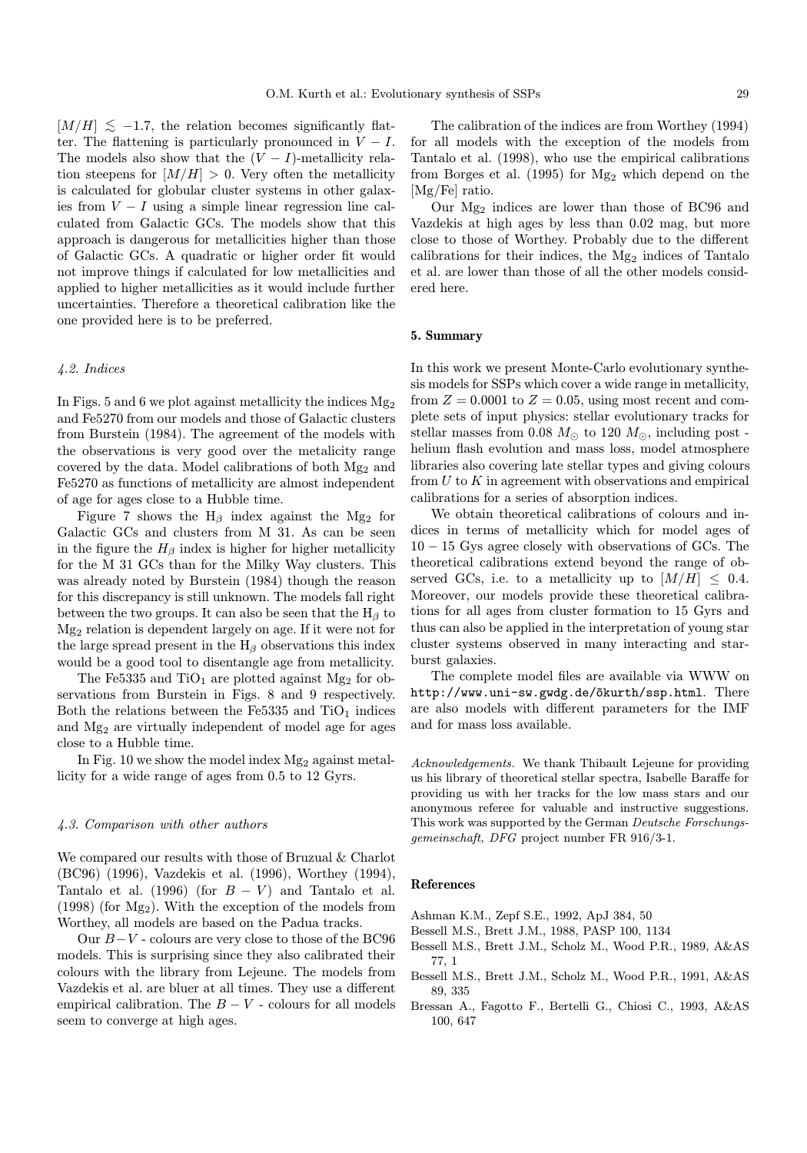$[M/H] \lesssim -1.7$ , the relation becomes significantly flatter. The flattening is particularly pronounced in  $V - I$ . The models also show that the  $(V - I)$ -metallicity relation steepens for  $[M/H] > 0$ . Very often the metallicity is calculated for globular cluster systems in other galaxies from  $V - I$  using a simple linear regression line calculated from Galactic GCs. The models show that this approach is dangerous for metallicities higher than those of Galactic GCs. A quadratic or higher order fit would not improve things if calculated for low metallicities and applied to higher metallicities as it would include further uncertainties. Therefore a theoretical calibration like the one provided here is to be preferred.

#### 4.2. Indices

In Figs. 5 and 6 we plot against metallicity the indices  $Mg_2$ and Fe5270 from our models and those of Galactic clusters from Burstein (1984). The agreement of the models with the observations is very good over the metalicity range covered by the data. Model calibrations of both Mg<sup>2</sup> and Fe5270 as functions of metallicity are almost independent of age for ages close to a Hubble time.

Figure 7 shows the  $H_\beta$  index against the Mg<sub>2</sub> for Galactic GCs and clusters from M 31. As can be seen in the figure the  $H_\beta$  index is higher for higher metallicity for the M 31 GCs than for the Milky Way clusters. This was already noted by Burstein (1984) though the reason for this discrepancy is still unknown. The models fall right between the two groups. It can also be seen that the  $H_\beta$  to Mg<sup>2</sup> relation is dependent largely on age. If it were not for the large spread present in the  $\rm H_{\beta}$  observations this index would be a good tool to disentangle age from metallicity.

The Fe5335 and  $TiO<sub>1</sub>$  are plotted against Mg<sub>2</sub> for observations from Burstein in Figs. 8 and 9 respectively. Both the relations between the Fe5335 and  $TiO<sub>1</sub>$  indices and Mg<sup>2</sup> are virtually independent of model age for ages close to a Hubble time.

In Fig. 10 we show the model index  $Mg_2$  against metallicity for a wide range of ages from 0.5 to 12 Gyrs.

#### 4.3. Comparison with other authors

We compared our results with those of Bruzual & Charlot (BC96) (1996), Vazdekis et al. (1996), Worthey (1994), Tantalo et al. (1996) (for  $B - V$ ) and Tantalo et al. (1998) (for  $Mg_2$ ). With the exception of the models from Worthey, all models are based on the Padua tracks.

Our  $B-V$  - colours are very close to those of the BC96 models. This is surprising since they also calibrated their colours with the library from Lejeune. The models from Vazdekis et al. are bluer at all times. They use a different empirical calibration. The  $B - V$  - colours for all models seem to converge at high ages.

The calibration of the indices are from Worthey (1994) for all models with the exception of the models from Tantalo et al. (1998), who use the empirical calibrations from Borges et al.  $(1995)$  for Mg<sub>2</sub> which depend on the [Mg/Fe] ratio.

Our  $Mg_2$  indices are lower than those of BC96 and Vazdekis at high ages by less than 0.02 mag, but more close to those of Worthey. Probably due to the different calibrations for their indices, the  $Mg_2$  indices of Tantalo et al. are lower than those of all the other models considered here.

#### 5. Summary

In this work we present Monte-Carlo evolutionary synthesis models for SSPs which cover a wide range in metallicity, from  $Z = 0.0001$  to  $Z = 0.05$ , using most recent and complete sets of input physics: stellar evolutionary tracks for stellar masses from 0.08  $M_{\odot}$  to 120  $M_{\odot}$ , including post helium flash evolution and mass loss, model atmosphere libraries also covering late stellar types and giving colours from  $U$  to  $K$  in agreement with observations and empirical calibrations for a series of absorption indices.

We obtain theoretical calibrations of colours and indices in terms of metallicity which for model ages of 10 − 15 Gys agree closely with observations of GCs. The theoretical calibrations extend beyond the range of observed GCs, i.e. to a metallicity up to  $[M/H] \leq 0.4$ . Moreover, our models provide these theoretical calibrations for all ages from cluster formation to 15 Gyrs and thus can also be applied in the interpretation of young star cluster systems observed in many interacting and starburst galaxies.

The complete model files are available via WWW on http://www.uni-sw.gwdg.de/õkurth/ssp.html. There are also models with different parameters for the IMF and for mass loss available.

Acknowledgements. We thank Thibault Lejeune for providing us his library of theoretical stellar spectra, Isabelle Baraffe for providing us with her tracks for the low mass stars and our anonymous referee for valuable and instructive suggestions. This work was supported by the German Deutsche Forschungsgemeinschaft, DFG project number FR 916/3-1.

#### References

Ashman K.M., Zepf S.E., 1992, ApJ 384, 50

- Bessell M.S., Brett J.M., 1988, PASP 100, 1134
- Bessell M.S., Brett J.M., Scholz M., Wood P.R., 1989, A&AS 77, 1
- Bessell M.S., Brett J.M., Scholz M., Wood P.R., 1991, A&AS 89, 335
- Bressan A., Fagotto F., Bertelli G., Chiosi C., 1993, A&AS 100, 647